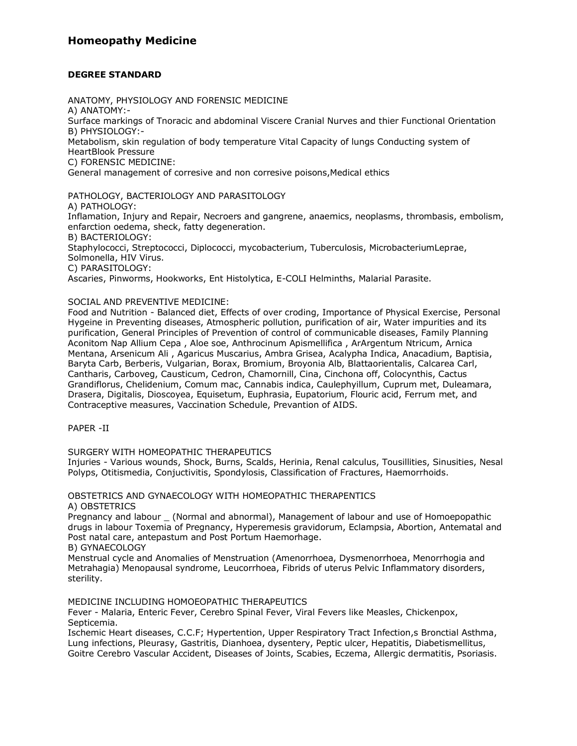## **Homeopathy Medicine**

### **DEGREE STANDARD**

ANATOMY, PHYSIOLOGY AND FORENSIC MEDICINE

A) ANATOMY:-

Surface markings of Tnoracic and abdominal Viscere Cranial Nurves and thier Functional Orientation B) PHYSIOLOGY:-

Metabolism, skin regulation of body temperature Vital Capacity of lungs Conducting system of HeartBlook Pressure

C) FORENSIC MEDICINE:

General management of corresive and non corresive poisons,Medical ethics

PATHOLOGY, BACTERIOLOGY AND PARASITOLOGY A) PATHOLOGY: Inflamation, Injury and Repair, Necroers and gangrene, anaemics, neoplasms, thrombasis, embolism, enfarction oedema, sheck, fatty degeneration. B) BACTERIOLOGY:

Staphylococci, Streptococci, Diplococci, mycobacterium, Tuberculosis, MicrobacteriumLeprae, Solmonella, HIV Virus.

C) PARASITOLOGY:

Ascaries, Pinworms, Hookworks, Ent Histolytica, E-COLI Helminths, Malarial Parasite.

### SOCIAL AND PREVENTIVE MEDICINE:

Food and Nutrition - Balanced diet, Effects of over croding, Importance of Physical Exercise, Personal Hygeine in Preventing diseases, Atmospheric pollution, purification of air, Water impurities and its purification, General Principles of Prevention of control of communicable diseases, Family Planning Aconitom Nap Allium Cepa , Aloe soe, Anthrocinum Apismellifica , ArArgentum Ntricum, Arnica Mentana, Arsenicum Ali , Agaricus Muscarius, Ambra Grisea, Acalypha Indica, Anacadium, Baptisia, Baryta Carb, Berberis, Vulgarian, Borax, Bromium, Broyonia Alb, Blattaorientalis, Calcarea Carl, Cantharis, Carboveg, Causticum, Cedron, Chamornill, Cina, Cinchona off, Colocynthis, Cactus Grandiflorus, Chelidenium, Comum mac, Cannabis indica, Caulephyillum, Cuprum met, Duleamara, Drasera, Digitalis, Dioscoyea, Equisetum, Euphrasia, Eupatorium, Flouric acid, Ferrum met, and Contraceptive measures, Vaccination Schedule, Prevantion of AIDS.

PAPER -II

SURGERY WITH HOMEOPATHIC THERAPEUTICS

Injuries - Various wounds, Shock, Burns, Scalds, Herinia, Renal calculus, Tousillities, Sinusities, Nesal Polyps, Otitismedia, Conjuctivitis, Spondylosis, Classification of Fractures, Haemorrhoids.

# OBSTETRICS AND GYNAECOLOGY WITH HOMEOPATHIC THERAPENTICS

A) OBSTETRICS

Pregnancy and labour (Normal and abnormal), Management of labour and use of Homoepopathic drugs in labour Toxemia of Pregnancy, Hyperemesis gravidorum, Eclampsia, Abortion, Antematal and Post natal care, antepastum and Post Portum Haemorhage.

B) GYNAECOLOGY

Menstrual cycle and Anomalies of Menstruation (Amenorrhoea, Dysmenorrhoea, Menorrhogia and Metrahagia) Menopausal syndrome, Leucorrhoea, Fibrids of uterus Pelvic Inflammatory disorders, sterility.

MEDICINE INCLUDING HOMOEOPATHIC THERAPEUTICS

Fever - Malaria, Enteric Fever, Cerebro Spinal Fever, Viral Fevers like Measles, Chickenpox, Septicemia.

Ischemic Heart diseases, C.C.F; Hypertention, Upper Respiratory Tract Infection,s Bronctial Asthma, Lung infections, Pleurasy, Gastritis, Dianhoea, dysentery, Peptic ulcer, Hepatitis, Diabetismellitus, Goitre Cerebro Vascular Accident, Diseases of Joints, Scabies, Eczema, Allergic dermatitis, Psoriasis.